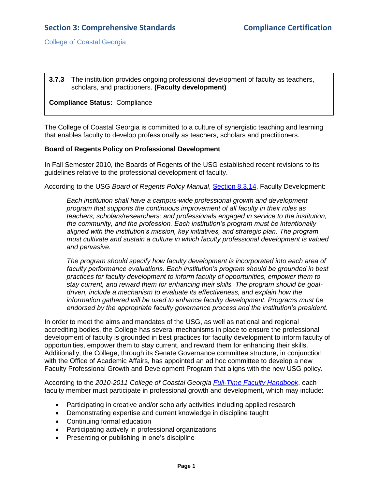# **Section 3: Comprehensive Standards Compliance Certification**

College of Coastal Georgia

#### **3.7.3** The institution provides ongoing professional development of faculty as teachers, scholars, and practitioners. **(Faculty development)**

#### **Compliance Status:** Compliance

The College of Coastal Georgia is committed to a culture of synergistic teaching and learning that enables faculty to develop professionally as teachers, scholars and practitioners.

#### **Board of Regents Policy on Professional Development**

In Fall Semester 2010, the Boards of Regents of the USG established recent revisions to its guidelines relative to the professional development of faculty.

According to the USG *Board of Regents Policy Manual*, [Section 8.3.14,](3.7.3.aUSGAAhandbook8.3.14.pdf#page=1) Faculty Development:

*Each institution shall have a campus-wide professional growth and development program that supports the continuous improvement of all faculty in their roles as teachers; scholars/researchers; and professionals engaged in service to the institution, the community, and the profession. Each institution's program must be intentionally aligned with the institution's mission, key initiatives, and strategic plan. The program must cultivate and sustain a culture in which faculty professional development is valued and pervasive.*

*The program should specify how faculty development is incorporated into each area of faculty performance evaluations. Each institution's program should be grounded in best practices for faculty development to inform faculty of opportunities, empower them to stay current, and reward them for enhancing their skills. The program should be goaldriven, include a mechanism to evaluate its effectiveness, and explain how the information gathered will be used to enhance faculty development. Programs must be endorsed by the appropriate faculty governance process and the institution's president.*

In order to meet the aims and mandates of the USG, as well as national and regional accrediting bodies, the College has several mechanisms in place to ensure the professional development of faculty is grounded in best practices for faculty development to inform faculty of opportunities, empower them to stay current, and reward them for enhancing their skills. Additionally, the College, through its Senate Governance committee structure, in conjunction with the Office of Academic Affairs, has appointed an ad hoc committee to develop a new Faculty Professional Growth and Development Program that aligns with the new USG policy.

According to the *2010-2011 College of Coastal Georgia [Full-Time Faculty Handbook](FTfacultyhandbook.pdf#page=53)*, each faculty member must participate in professional growth and development, which may include:

- Participating in creative and/or scholarly activities including applied research
- Demonstrating expertise and current knowledge in discipline taught
- Continuing formal education
- Participating actively in professional organizations
- Presenting or publishing in one's discipline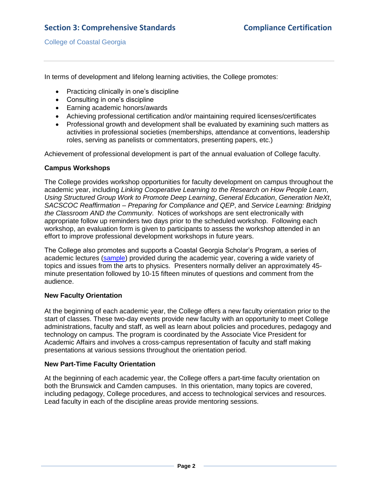College of Coastal Georgia

In terms of development and lifelong learning activities, the College promotes:

- Practicing clinically in one's discipline
- Consulting in one's discipline
- Earning academic honors/awards
- Achieving professional certification and/or maintaining required licenses/certificates
- Professional growth and development shall be evaluated by examining such matters as activities in professional societies (memberships, attendance at conventions, leadership roles, serving as panelists or commentators, presenting papers, etc.)

Achievement of professional development is part of the annual evaluation of College faculty.

#### **Campus Workshops**

The College provides workshop opportunities for faculty development on campus throughout the academic year, including *Linking Cooperative Learning to the Research on How People Learn*, *Using Structured Group Work to Promote Deep Learning*, *General Education*, *Generation NeXt*, *SACSCOC Reaffirmation – Preparing for Compliance and QEP*, and *Service Learning: Bridging the Classroom AND the Community*. Notices of workshops are sent electronically with appropriate follow up reminders two days prior to the scheduled workshop. Following each workshop, an evaluation form is given to participants to assess the workshop attended in an effort to improve professional development workshops in future years.

The College also promotes and supports a Coastal Georgia Scholar's Program, a series of academic lectures [\(sample\)](3.7.3.cCoastalScholarsSample.pdf#page=1) provided during the academic year, covering a wide variety of topics and issues from the arts to physics. Presenters normally deliver an approximately 45 minute presentation followed by 10-15 fifteen minutes of questions and comment from the audience.

### **New Faculty Orientation**

At the beginning of each academic year, the College offers a new faculty orientation prior to the start of classes. These two-day events provide new faculty with an opportunity to meet College administrations, faculty and staff, as well as learn about policies and procedures, pedagogy and technology on campus. The program is coordinated by the Associate Vice President for Academic Affairs and involves a cross-campus representation of faculty and staff making presentations at various sessions throughout the orientation period.

#### **New Part-Time Faculty Orientation**

At the beginning of each academic year, the College offers a part-time faculty orientation on both the Brunswick and Camden campuses. In this orientation, many topics are covered, including pedagogy, College procedures, and access to technological services and resources. Lead faculty in each of the discipline areas provide mentoring sessions.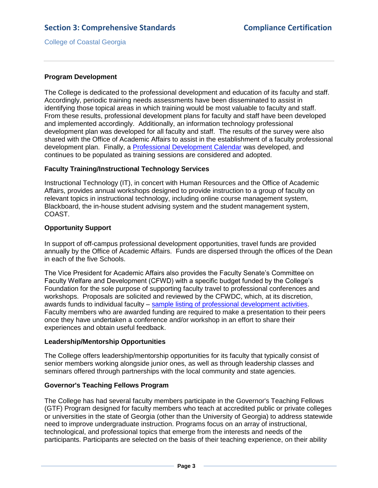College of Coastal Georgia

#### **Program Development**

The College is dedicated to the professional development and education of its faculty and staff. Accordingly, periodic training needs assessments have been disseminated to assist in identifying those topical areas in which training would be most valuable to faculty and staff. From these results, professional development plans for faculty and staff have been developed and implemented accordingly. Additionally, an information technology professional development plan was developed for all faculty and staff. The results of the survey were also shared with the Office of Academic Affairs to assist in the establishment of a faculty professional development plan. Finally, a [Professional Development Calendar](3.7.3.dProfDevelopmentCalendar.pdf#page=1) was developed, and continues to be populated as training sessions are considered and adopted.

#### **Faculty Training/Instructional Technology Services**

Instructional Technology (IT), in concert with Human Resources and the Office of Academic Affairs, provides annual workshops designed to provide instruction to a group of faculty on relevant topics in instructional technology, including online course management system, Blackboard, the in-house student advising system and the student management system, COAST.

#### **Opportunity Support**

In support of off-campus professional development opportunities, travel funds are provided annually by the Office of Academic Affairs. Funds are dispersed through the offices of the Dean in each of the five Schools.

The Vice President for Academic Affairs also provides the Faculty Senate's Committee on Faculty Welfare and Development (CFWD) with a specific budget funded by the College's Foundation for the sole purpose of supporting faculty travel to professional conferences and workshops. Proposals are solicited and reviewed by the CFWDC, which, at its discretion, awards funds to individual faculty – [sample listing of professional development activities.](3.7.3.eFacultyProfDevActivities.pdf#page=1) Faculty members who are awarded funding are required to make a presentation to their peers once they have undertaken a conference and/or workshop in an effort to share their experiences and obtain useful feedback.

#### **Leadership/Mentorship Opportunities**

The College offers leadership/mentorship opportunities for its faculty that typically consist of senior members working alongside junior ones, as well as through leadership classes and seminars offered through partnerships with the local community and state agencies.

#### **Governor's Teaching Fellows Program**

The College has had several faculty members participate in the Governor's Teaching Fellows (GTF) Program designed for faculty members who teach at accredited public or private colleges or universities in the state of Georgia (other than the University of Georgia) to address statewide need to improve undergraduate instruction. Programs focus on an array of instructional, technological, and professional topics that emerge from the interests and needs of the participants. Participants are selected on the basis of their teaching experience, on their ability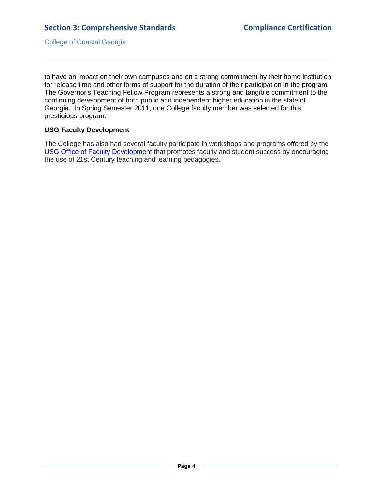College of Coastal Georgia

to have an impact on their own campuses and on a strong commitment by their home institution for release time and other forms of support for the duration of their participation in the program. The Governor's Teaching Fellow Program represents a strong and tangible commitment to the continuing development of both public and independent higher education in the state of Georgia. In Spring Semester 2011, one College faculty member was selected for this prestigious program.

#### **USG Faculty Development**

The College has also had several faculty participate in workshops and programs offered by the [USG Office of Faculty](3.7.3.fUSGFacultyDevelopment.pdf#page=1) Development that promotes faculty and student success by encouraging the use of 21st Century teaching and learning pedagogies.